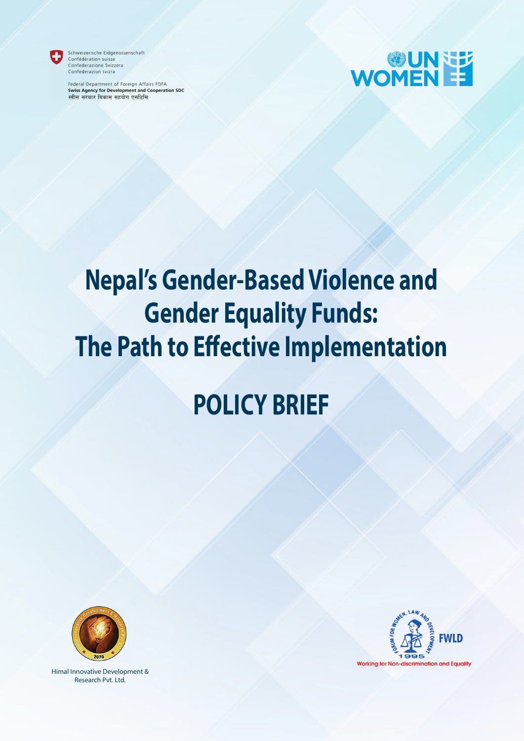

Schweizerische Eidgenossenschaft Confédération suisse<br>Confédération suisse<br>Confederazione Svizzera Confederaziun svizra

Federal Department of Foreign Affairs FDFA **Swiss Agency for Development and Cooperation SDC** स्वीस सरकार बिकास सहयोग एसडिसि



# **Nepal's Gender-Based Violence and Gender Equality Funds: The Path to Effective Implementation**

# **POLICY BRIEF**



Himal Innovative Development & Research Pvt. Ltd.

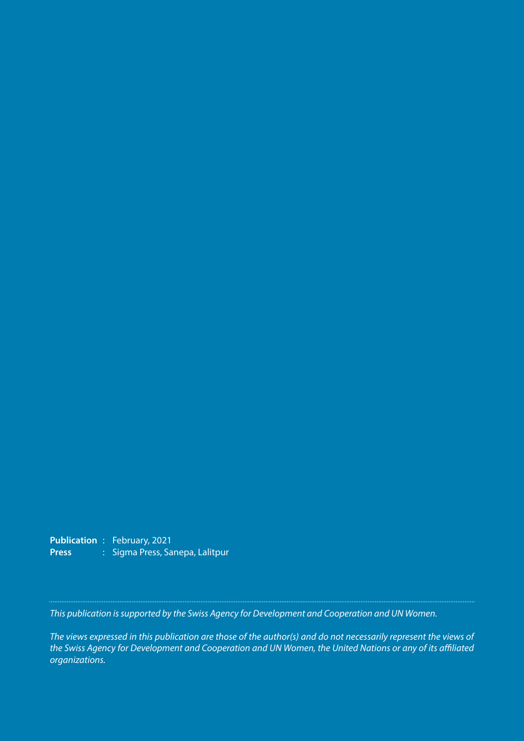**Publication** : February, 2021 Press : Sigma Press, Sanepa, Lalitpur

*This publication is supported by the Swiss Agency for Development and Cooperation and UN Women.*

*The views expressed in this publication are those of the author(s) and do not necessarily represent the views of the Swiss Agency for Development and Cooperation and UN Women, the United Nations or any of its affiliated organizations.*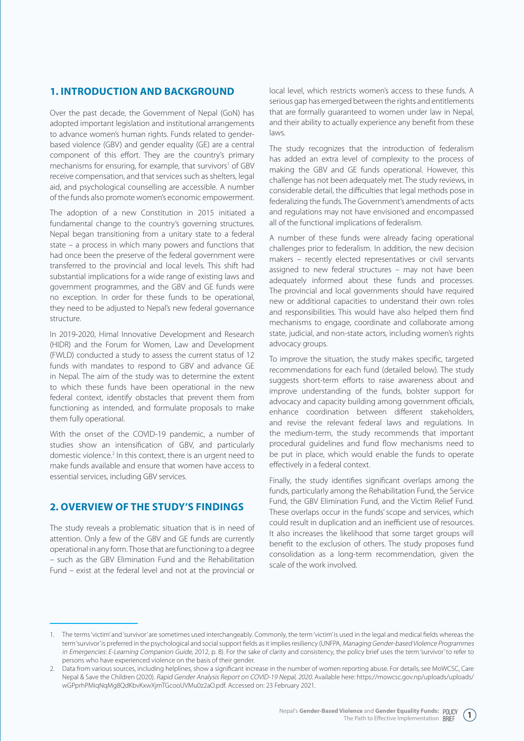### **1. INTRODUCTION AND BACKGROUND**

Over the past decade, the Government of Nepal (GoN) has adopted important legislation and institutional arrangements to advance women's human rights. Funds related to genderbased violence (GBV) and gender equality (GE) are a central component of this effort. They are the country's primary mechanisms for ensuring, for example, that survivors<sup>1</sup> of GBV receive compensation, and that services such as shelters, legal aid, and psychological counselling are accessible. A number of the funds also promote women's economic empowerment.

The adoption of a new Constitution in 2015 initiated a fundamental change to the country's governing structures. Nepal began transitioning from a unitary state to a federal state – a process in which many powers and functions that had once been the preserve of the federal government were transferred to the provincial and local levels. This shift had substantial implications for a wide range of existing laws and government programmes, and the GBV and GE funds were no exception. In order for these funds to be operational, they need to be adjusted to Nepal's new federal governance structure.

In 2019-2020, Himal Innovative Development and Research (HIDR) and the Forum for Women, Law and Development (FWLD) conducted a study to assess the current status of 12 funds with mandates to respond to GBV and advance GE in Nepal. The aim of the study was to determine the extent to which these funds have been operational in the new federal context, identify obstacles that prevent them from functioning as intended, and formulate proposals to make them fully operational.

With the onset of the COVID-19 pandemic, a number of studies show an intensification of GBV, and particularly domestic violence.<sup>2</sup> In this context, there is an urgent need to make funds available and ensure that women have access to essential services, including GBV services.

#### **2. OVERVIEW OF THE STUDY'S FINDINGS**

The study reveals a problematic situation that is in need of attention. Only a few of the GBV and GE funds are currently operational in any form. Those that are functioning to a degree – such as the GBV Elimination Fund and the Rehabilitation Fund – exist at the federal level and not at the provincial or

local level, which restricts women's access to these funds. A serious gap has emerged between the rights and entitlements that are formally guaranteed to women under law in Nepal, and their ability to actually experience any benefit from these laws.

The study recognizes that the introduction of federalism has added an extra level of complexity to the process of making the GBV and GE funds operational. However, this challenge has not been adequately met. The study reviews, in considerable detail, the difficulties that legal methods pose in federalizing the funds. The Government's amendments of acts and regulations may not have envisioned and encompassed all of the functional implications of federalism.

A number of these funds were already facing operational challenges prior to federalism. In addition, the new decision makers – recently elected representatives or civil servants assigned to new federal structures – may not have been adequately informed about these funds and processes. The provincial and local governments should have required new or additional capacities to understand their own roles and responsibilities. This would have also helped them find mechanisms to engage, coordinate and collaborate among state, judicial, and non-state actors, including women's rights advocacy groups.

To improve the situation, the study makes specific, targeted recommendations for each fund (detailed below). The study suggests short-term efforts to raise awareness about and improve understanding of the funds, bolster support for advocacy and capacity building among government officials, enhance coordination between different stakeholders, and revise the relevant federal laws and regulations. In the medium-term, the study recommends that important procedural guidelines and fund flow mechanisms need to be put in place, which would enable the funds to operate effectively in a federal context.

Finally, the study identifies significant overlaps among the funds, particularly among the Rehabilitation Fund, the Service Fund, the GBV Elimination Fund, and the Victim Relief Fund. These overlaps occur in the funds' scope and services, which could result in duplication and an inefficient use of resources. It also increases the likelihood that some target groups will benefit to the exclusion of others. The study proposes fund consolidation as a long-term recommendation, given the scale of the work involved.

**1**

<sup>1.</sup> The terms 'victim' and 'survivor' are sometimes used interchangeably. Commonly, the term 'victim' is used in the legal and medical fields whereas the term 'survivor' is preferred in the psychological and social support fields as it implies resiliency (UNFPA, Managing Gender-based Violence Programmes in Emergencies: E-Learning Companion Guide, 2012, p. 8). For the sake of clarity and consistency, the policy brief uses the term 'survivor' to refer to persons who have experienced violence on the basis of their gender.

<sup>2.</sup> Data from various sources, including helplines, show a significant increase in the number of women reporting abuse. For details, see MoWCSC, Care Nepal & Save the Children (2020). Rapid Gender Analysis Report on COVID-19 Nepal, 2020. Available here: https://mowcsc.gov.np/uploads/uploads/ wGPprhPMiqNqMg8QdKbvKxwXjmTGcooUVMu0z2aO.pdf. Accessed on: 23 February 2021.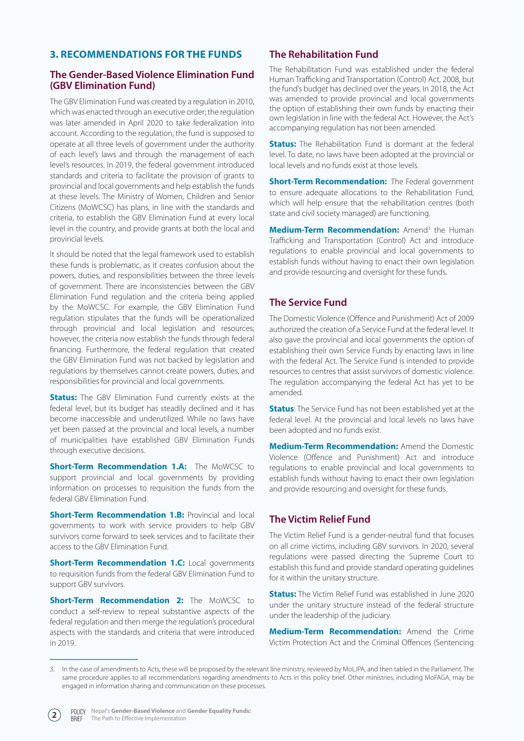# **3. RECOMMENDATIONS FOR THE FUNDS**

#### **The Gender-Based Violence Elimination Fund (GBV Elimination Fund)**

The GBV Elimination Fund was created by a regulation in 2010, which was enacted through an executive order; the regulation was later amended in April 2020 to take federalization into account. According to the regulation, the fund is supposed to operate at all three levels of government under the authority of each level's laws and through the management of each level's resources. In 2019, the federal government introduced standards and criteria to facilitate the provision of grants to provincial and local governments and help establish the funds at these levels. The Ministry of Women, Children and Senior Citizens (MoWCSC) has plans, in line with the standards and criteria, to establish the GBV Elimination Fund at every local level in the country, and provide grants at both the local and provincial levels.

It should be noted that the legal framework used to establish these funds is problematic, as it creates confusion about the powers, duties, and responsibilities between the three levels of government. There are inconsistencies between the GBV Elimination Fund regulation and the criteria being applied by the MoWCSC. For example, the GBV Elimination Fund regulation stipulates that the funds will be operationalized through provincial and local legislation and resources; however, the criteria now establish the funds through federal financing. Furthermore, the federal regulation that created the GBV Elimination Fund was not backed by legislation and regulations by themselves cannot create powers, duties, and responsibilities for provincial and local governments.

**Status:** The GBV Elimination Fund currently exists at the federal level, but its budget has steadily declined and it has become inaccessible and underutilized. While no laws have yet been passed at the provincial and local levels, a number of municipalities have established GBV Elimination Funds through executive decisions.

**Short-Term Recommendation 1.A:** The MoWCSC to support provincial and local governments by providing information on processes to requisition the funds from the federal GBV Elimination Fund.

**Short-Term Recommendation 1.B: Provincial and local** governments to work with service providers to help GBV survivors come forward to seek services and to facilitate their access to the GBV Elimination Fund.

**Short-Term Recommendation 1.C: Local governments** to requisition funds from the federal GBV Elimination Fund to support GBV survivors.

**Short-Term Recommendation 2:** The MoWCSC to conduct a self-review to repeal substantive aspects of the federal regulation and then merge the regulation's procedural aspects with the standards and criteria that were introduced in 2019.

# **The Rehabilitation Fund**

The Rehabilitation Fund was established under the federal Human Trafficking and Transportation (Control) Act, 2008, but the fund's budget has declined over the years. In 2018, the Act was amended to provide provincial and local governments the option of establishing their own funds by enacting their own legislation in line with the federal Act. However, the Act's accompanying regulation has not been amended.

**Status:** The Rehabilitation Fund is dormant at the federal level. To date, no laws have been adopted at the provincial or local levels and no funds exist at those levels.

**Short-Term Recommendation:** The Federal government to ensure adequate allocations to the Rehabilitation Fund, which will help ensure that the rehabilitation centres (both state and civil society managed) are functioning.

Medium-Term Recommendation: Amend<sup>3</sup> the Human Trafficking and Transportation (Control) Act and introduce regulations to enable provincial and local governments to establish funds without having to enact their own legislation and provide resourcing and oversight for these funds.

#### **The Service Fund**

The Domestic Violence (Offence and Punishment) Act of 2009 authorized the creation of a Service Fund at the federal level. It also gave the provincial and local governments the option of establishing their own Service Funds by enacting laws in line with the federal Act. The Service Fund is intended to provide resources to centres that assist survivors of domestic violence. The regulation accompanying the federal Act has yet to be amended.

**Status**: The Service Fund has not been established yet at the federal level. At the provincial and local levels no laws have been adopted and no funds exist.

**Medium-Term Recommendation:** Amend the Domestic Violence (Offence and Punishment) Act and introduce regulations to enable provincial and local governments to establish funds without having to enact their own legislation and provide resourcing and oversight for these funds.

#### **The Victim Relief Fund**

The Victim Relief Fund is a gender-neutral fund that focuses on all crime victims, including GBV survivors. In 2020, several regulations were passed directing the Supreme Court to establish this fund and provide standard operating guidelines for it within the unitary structure.

**Status:** The Victim Relief Fund was established in June 2020 under the unitary structure instead of the federal structure under the leadership of the judiciary.

**Medium-Term Recommendation:** Amend the Crime Victim Protection Act and the Criminal Offences (Sentencing

<sup>3.</sup> In the case of amendments to Acts, these will be proposed by the relevant line ministry, reviewed by MoLJPA, and then tabled in the Parliament. The same procedure applies to all recommendations regarding amendments to Acts in this policy brief. Other ministries, including MoFAGA, may be engaged in information sharing and communication on these processes.

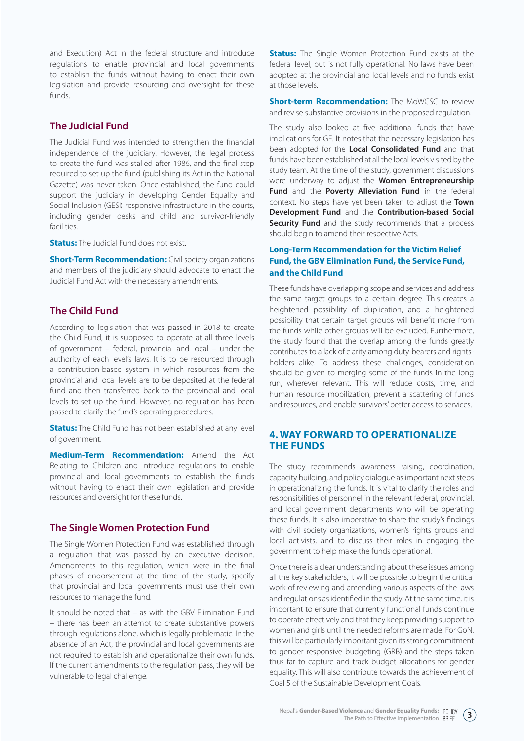and Execution) Act in the federal structure and introduce regulations to enable provincial and local governments to establish the funds without having to enact their own legislation and provide resourcing and oversight for these funds.

#### **The Judicial Fund**

The Judicial Fund was intended to strengthen the financial independence of the judiciary. However, the legal process to create the fund was stalled after 1986, and the final step required to set up the fund (publishing its Act in the National Gazette) was never taken. Once established, the fund could support the judiciary in developing Gender Equality and Social Inclusion (GESI) responsive infrastructure in the courts, including gender desks and child and survivor-friendly facilities.

**Status:** The Judicial Fund does not exist.

**Short-Term Recommendation:** Civil society organizations and members of the judiciary should advocate to enact the Judicial Fund Act with the necessary amendments.

#### **The Child Fund**

According to legislation that was passed in 2018 to create the Child Fund, it is supposed to operate at all three levels of government – federal, provincial and local – under the authority of each level's laws. It is to be resourced through a contribution-based system in which resources from the provincial and local levels are to be deposited at the federal fund and then transferred back to the provincial and local levels to set up the fund. However, no regulation has been passed to clarify the fund's operating procedures.

**Status:** The Child Fund has not been established at any level of government.

**Medium-Term Recommendation:** Amend the Act Relating to Children and introduce regulations to enable provincial and local governments to establish the funds without having to enact their own legislation and provide resources and oversight for these funds.

#### **The Single Women Protection Fund**

The Single Women Protection Fund was established through a regulation that was passed by an executive decision. Amendments to this regulation, which were in the final phases of endorsement at the time of the study, specify that provincial and local governments must use their own resources to manage the fund.

It should be noted that – as with the GBV Elimination Fund – there has been an attempt to create substantive powers through regulations alone, which is legally problematic. In the absence of an Act, the provincial and local governments are not required to establish and operationalize their own funds. If the current amendments to the regulation pass, they will be vulnerable to legal challenge.

**Status:** The Single Women Protection Fund exists at the federal level, but is not fully operational. No laws have been adopted at the provincial and local levels and no funds exist at those levels.

**Short-term Recommendation:** The MoWCSC to review and revise substantive provisions in the proposed regulation.

The study also looked at five additional funds that have implications for GE. It notes that the necessary legislation has been adopted for the **Local Consolidated Fund** and that funds have been established at all the local levels visited by the study team. At the time of the study, government discussions were underway to adjust the **Women Entrepreneurship Fund** and the **Poverty Alleviation Fund** in the federal context. No steps have yet been taken to adjust the **Town Development Fund** and the **Contribution-based Social Security Fund** and the study recommends that a process should begin to amend their respective Acts.

#### **Long-Term Recommendation for the Victim Relief Fund, the GBV Elimination Fund, the Service Fund, and the Child Fund**

These funds have overlapping scope and services and address the same target groups to a certain degree. This creates a heightened possibility of duplication, and a heightened possibility that certain target groups will benefit more from the funds while other groups will be excluded. Furthermore, the study found that the overlap among the funds greatly contributes to a lack of clarity among duty-bearers and rightsholders alike. To address these challenges, consideration should be given to merging some of the funds in the long run, wherever relevant. This will reduce costs, time, and human resource mobilization, prevent a scattering of funds and resources, and enable survivors' better access to services.

#### **4. WAY FORWARD TO OPERATIONALIZE THE FUNDS**

The study recommends awareness raising, coordination, capacity building, and policy dialogue as important next steps in operationalizing the funds. It is vital to clarify the roles and responsibilities of personnel in the relevant federal, provincial, and local government departments who will be operating these funds. It is also imperative to share the study's findings with civil society organizations, women's rights groups and local activists, and to discuss their roles in engaging the government to help make the funds operational.

Once there is a clear understanding about these issues among all the key stakeholders, it will be possible to begin the critical work of reviewing and amending various aspects of the laws and regulations as identified in the study. At the same time, it is important to ensure that currently functional funds continue to operate effectively and that they keep providing support to women and girls until the needed reforms are made. For GoN, this will be particularly important given its strong commitment to gender responsive budgeting (GRB) and the steps taken thus far to capture and track budget allocations for gender equality. This will also contribute towards the achievement of Goal 5 of the Sustainable Development Goals.